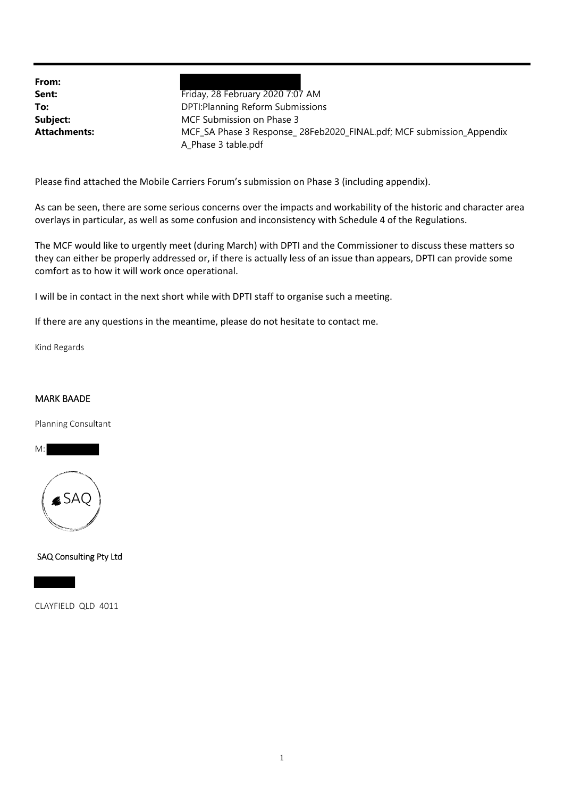**From:**

**Sent:** Friday, 28 February 2020 7:07 AM **To:** DPTI:Planning Reform Submissions **Subject:** MCF Submission on Phase 3 **Attachments:** MCF\_SA Phase 3 Response\_ 28Feb2020\_FINAL.pdf; MCF submission\_Appendix A\_Phase 3 table.pdf

Please find attached the Mobile Carriers Forum's submission on Phase 3 (including appendix).

As can be seen, there are some serious concerns over the impacts and workability of the historic and character area overlays in particular, as well as some confusion and inconsistency with Schedule 4 of the Regulations.

The MCF would like to urgently meet (during March) with DPTI and the Commissioner to discuss these matters so they can either be properly addressed or, if there is actually less of an issue than appears, DPTI can provide some comfort as to how it will work once operational.

I will be in contact in the next short while with DPTI staff to organise such a meeting.

If there are any questions in the meantime, please do not hesitate to contact me.

Kind Regards

#### MARK BAADE

Planning Consultant



SAQ Consulting Pty Ltd

CLAYFIELD QLD 4011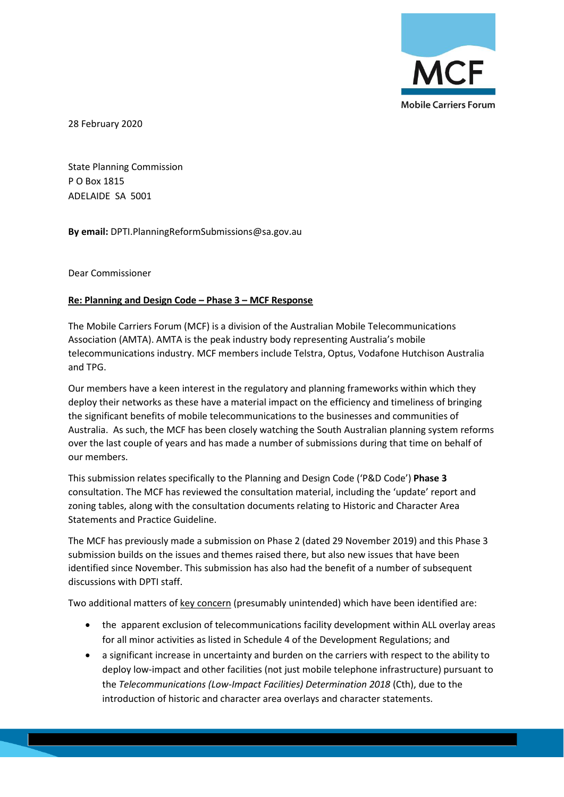

28 February 2020

State Planning Commission P O Box 1815 ADELAIDE SA 5001

**By email:** DPTI.PlanningReformSubmissions@sa.gov.au

Dear Commissioner

#### **Re: Planning and Design Code – Phase 3 – MCF Response**

The Mobile Carriers Forum (MCF) is a division of the Australian Mobile Telecommunications Association (AMTA). AMTA is the peak industry body representing Australia's mobile telecommunications industry. MCF members include Telstra, Optus, Vodafone Hutchison Australia and TPG.

Our members have a keen interest in the regulatory and planning frameworks within which they deploy their networks as these have a material impact on the efficiency and timeliness of bringing the significant benefits of mobile telecommunications to the businesses and communities of Australia. As such, the MCF has been closely watching the South Australian planning system reforms over the last couple of years and has made a number of submissions during that time on behalf of our members.

This submission relates specifically to the Planning and Design Code ('P&D Code') **Phase 3** consultation. The MCF has reviewed the consultation material, including the 'update' report and zoning tables, along with the consultation documents relating to Historic and Character Area Statements and Practice Guideline.

The MCF has previously made a submission on Phase 2 (dated 29 November 2019) and this Phase 3 submission builds on the issues and themes raised there, but also new issues that have been identified since November. This submission has also had the benefit of a number of subsequent discussions with DPTI staff.

Two additional matters of key concern (presumably unintended) which have been identified are:

- the apparent exclusion of telecommunications facility development within ALL overlay areas for all minor activities as listed in Schedule 4 of the Development Regulations; and
- a significant increase in uncertainty and burden on the carriers with respect to the ability to deploy low-impact and other facilities (not just mobile telephone infrastructure) pursuant to the *Telecommunications (Low-Impact Facilities) Determination 2018* (Cth), due to the introduction of historic and character area overlays and character statements.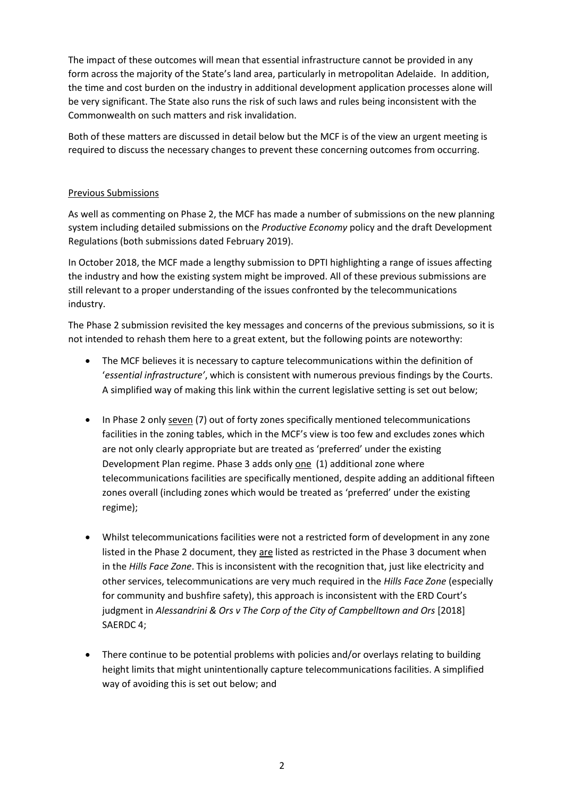The impact of these outcomes will mean that essential infrastructure cannot be provided in any form across the majority of the State's land area, particularly in metropolitan Adelaide. In addition, the time and cost burden on the industry in additional development application processes alone will be very significant. The State also runs the risk of such laws and rules being inconsistent with the Commonwealth on such matters and risk invalidation.

Both of these matters are discussed in detail below but the MCF is of the view an urgent meeting is required to discuss the necessary changes to prevent these concerning outcomes from occurring.

#### Previous Submissions

As well as commenting on Phase 2, the MCF has made a number of submissions on the new planning system including detailed submissions on the *Productive Economy* policy and the draft Development Regulations (both submissions dated February 2019).

In October 2018, the MCF made a lengthy submission to DPTI highlighting a range of issues affecting the industry and how the existing system might be improved. All of these previous submissions are still relevant to a proper understanding of the issues confronted by the telecommunications industry.

The Phase 2 submission revisited the key messages and concerns of the previous submissions, so it is not intended to rehash them here to a great extent, but the following points are noteworthy:

- The MCF believes it is necessary to capture telecommunications within the definition of '*essential infrastructure'*, which is consistent with numerous previous findings by the Courts. A simplified way of making this link within the current legislative setting is set out below;
- In Phase 2 only seven (7) out of forty zones specifically mentioned telecommunications facilities in the zoning tables, which in the MCF's view is too few and excludes zones which are not only clearly appropriate but are treated as 'preferred' under the existing Development Plan regime. Phase 3 adds only one (1) additional zone where telecommunications facilities are specifically mentioned, despite adding an additional fifteen zones overall (including zones which would be treated as 'preferred' under the existing regime);
- Whilst telecommunications facilities were not a restricted form of development in any zone listed in the Phase 2 document, they are listed as restricted in the Phase 3 document when in the *Hills Face Zone*. This is inconsistent with the recognition that, just like electricity and other services, telecommunications are very much required in the *Hills Face Zone* (especially for community and bushfire safety), this approach is inconsistent with the ERD Court's judgment in *Alessandrini & Ors v The Corp of the City of Campbelltown and Ors* [2018] SAERDC 4;
- There continue to be potential problems with policies and/or overlays relating to building height limits that might unintentionally capture telecommunications facilities. A simplified way of avoiding this is set out below; and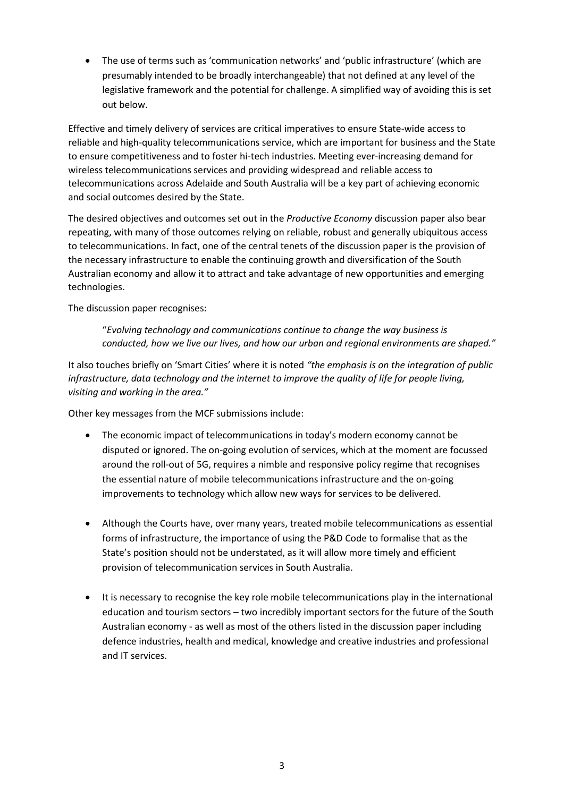• The use of terms such as 'communication networks' and 'public infrastructure' (which are presumably intended to be broadly interchangeable) that not defined at any level of the legislative framework and the potential for challenge. A simplified way of avoiding this is set out below.

Effective and timely delivery of services are critical imperatives to ensure State-wide access to reliable and high-quality telecommunications service, which are important for business and the State to ensure competitiveness and to foster hi-tech industries. Meeting ever-increasing demand for wireless telecommunications services and providing widespread and reliable access to telecommunications across Adelaide and South Australia will be a key part of achieving economic and social outcomes desired by the State.

The desired objectives and outcomes set out in the *Productive Economy* discussion paper also bear repeating, with many of those outcomes relying on reliable, robust and generally ubiquitous access to telecommunications. In fact, one of the central tenets of the discussion paper is the provision of the necessary infrastructure to enable the continuing growth and diversification of the South Australian economy and allow it to attract and take advantage of new opportunities and emerging technologies.

The discussion paper recognises:

"*Evolving technology and communications continue to change the way business is conducted, how we live our lives, and how our urban and regional environments are shaped."*

It also touches briefly on 'Smart Cities' where it is noted *"the emphasis is on the integration of public infrastructure, data technology and the internet to improve the quality of life for people living, visiting and working in the area."*

Other key messages from the MCF submissions include:

- The economic impact of telecommunications in today's modern economy cannot be disputed or ignored. The on-going evolution of services, which at the moment are focussed around the roll-out of 5G, requires a nimble and responsive policy regime that recognises the essential nature of mobile telecommunications infrastructure and the on-going improvements to technology which allow new ways for services to be delivered.
- Although the Courts have, over many years, treated mobile telecommunications as essential forms of infrastructure, the importance of using the P&D Code to formalise that as the State's position should not be understated, as it will allow more timely and efficient provision of telecommunication services in South Australia.
- It is necessary to recognise the key role mobile telecommunications play in the international education and tourism sectors – two incredibly important sectors for the future of the South Australian economy - as well as most of the others listed in the discussion paper including defence industries, health and medical, knowledge and creative industries and professional and IT services.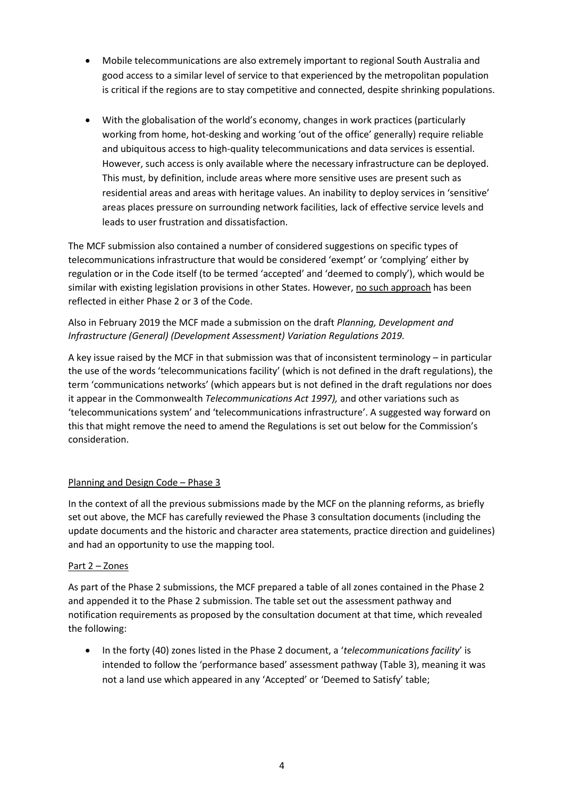- Mobile telecommunications are also extremely important to regional South Australia and good access to a similar level of service to that experienced by the metropolitan population is critical if the regions are to stay competitive and connected, despite shrinking populations.
- With the globalisation of the world's economy, changes in work practices (particularly working from home, hot-desking and working 'out of the office' generally) require reliable and ubiquitous access to high-quality telecommunications and data services is essential. However, such access is only available where the necessary infrastructure can be deployed. This must, by definition, include areas where more sensitive uses are present such as residential areas and areas with heritage values. An inability to deploy services in 'sensitive' areas places pressure on surrounding network facilities, lack of effective service levels and leads to user frustration and dissatisfaction.

The MCF submission also contained a number of considered suggestions on specific types of telecommunications infrastructure that would be considered 'exempt' or 'complying' either by regulation or in the Code itself (to be termed 'accepted' and 'deemed to comply'), which would be similar with existing legislation provisions in other States. However, no such approach has been reflected in either Phase 2 or 3 of the Code.

Also in February 2019 the MCF made a submission on the draft *Planning, Development and Infrastructure (General) (Development Assessment) Variation Regulations 2019.*

A key issue raised by the MCF in that submission was that of inconsistent terminology – in particular the use of the words 'telecommunications facility' (which is not defined in the draft regulations), the term 'communications networks' (which appears but is not defined in the draft regulations nor does it appear in the Commonwealth *Telecommunications Act 1997),* and other variations such as 'telecommunications system' and 'telecommunications infrastructure'. A suggested way forward on this that might remove the need to amend the Regulations is set out below for the Commission's consideration.

## Planning and Design Code – Phase 3

In the context of all the previous submissions made by the MCF on the planning reforms, as briefly set out above, the MCF has carefully reviewed the Phase 3 consultation documents (including the update documents and the historic and character area statements, practice direction and guidelines) and had an opportunity to use the mapping tool.

## Part 2 – Zones

As part of the Phase 2 submissions, the MCF prepared a table of all zones contained in the Phase 2 and appended it to the Phase 2 submission. The table set out the assessment pathway and notification requirements as proposed by the consultation document at that time, which revealed the following:

• In the forty (40) zones listed in the Phase 2 document, a '*telecommunications facility*' is intended to follow the 'performance based' assessment pathway (Table 3), meaning it was not a land use which appeared in any 'Accepted' or 'Deemed to Satisfy' table;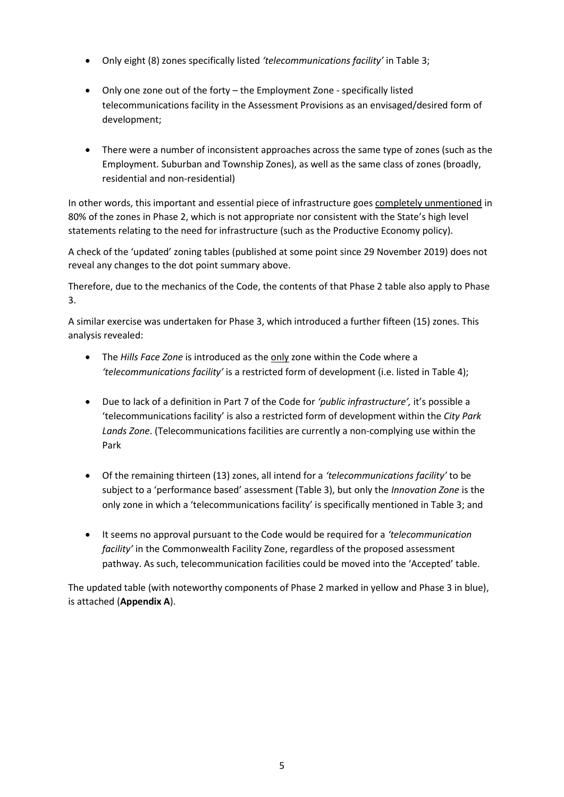- Only eight (8) zones specifically listed *'telecommunications facility'* in Table 3;
- Only one zone out of the forty the Employment Zone specifically listed telecommunications facility in the Assessment Provisions as an envisaged/desired form of development;
- There were a number of inconsistent approaches across the same type of zones (such as the Employment. Suburban and Township Zones), as well as the same class of zones (broadly, residential and non-residential)

In other words, this important and essential piece of infrastructure goes completely unmentioned in 80% of the zones in Phase 2, which is not appropriate nor consistent with the State's high level statements relating to the need for infrastructure (such as the Productive Economy policy).

A check of the 'updated' zoning tables (published at some point since 29 November 2019) does not reveal any changes to the dot point summary above.

Therefore, due to the mechanics of the Code, the contents of that Phase 2 table also apply to Phase 3.

A similar exercise was undertaken for Phase 3, which introduced a further fifteen (15) zones. This analysis revealed:

- The *Hills Face Zone* is introduced as the only zone within the Code where a *'telecommunications facility'* is a restricted form of development (i.e. listed in Table 4);
- Due to lack of a definition in Part 7 of the Code for *'public infrastructure',* it's possible a 'telecommunications facility' is also a restricted form of development within the *City Park Lands Zone*. (Telecommunications facilities are currently a non-complying use within the Park
- Of the remaining thirteen (13) zones, all intend for a *'telecommunications facility'* to be subject to a 'performance based' assessment (Table 3), but only the *Innovation Zone* is the only zone in which a 'telecommunications facility' is specifically mentioned in Table 3; and
- It seems no approval pursuant to the Code would be required for a *'telecommunication facility'* in the Commonwealth Facility Zone, regardless of the proposed assessment pathway. As such, telecommunication facilities could be moved into the 'Accepted' table.

The updated table (with noteworthy components of Phase 2 marked in yellow and Phase 3 in blue), is attached (**Appendix A**).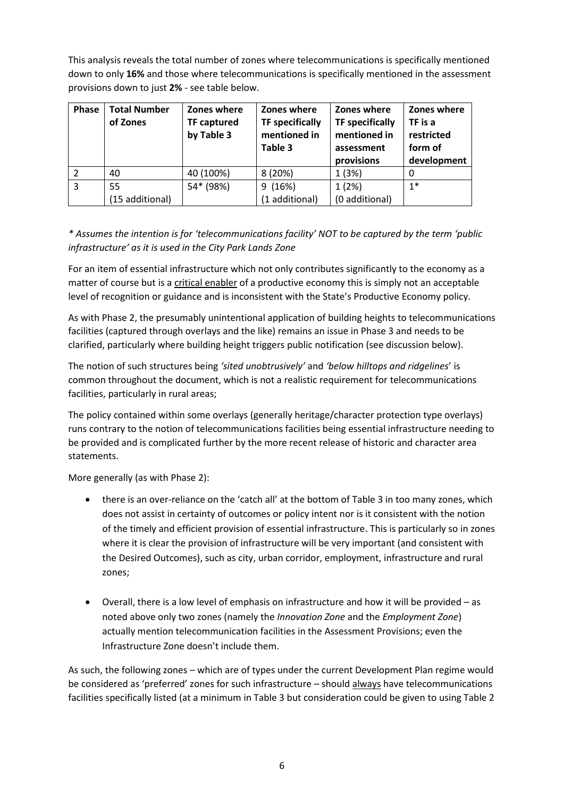This analysis reveals the total number of zones where telecommunications is specifically mentioned down to only **16%** and those where telecommunications is specifically mentioned in the assessment provisions down to just **2%** - see table below.

| Phase | <b>Total Number</b><br>of Zones | Zones where<br><b>TF captured</b><br>by Table 3 | Zones where<br><b>TF specifically</b><br>mentioned in<br>Table 3 | Zones where<br><b>TF specifically</b><br>mentioned in<br>assessment<br>provisions | Zones where<br>TF is a<br>restricted<br>form of<br>development |
|-------|---------------------------------|-------------------------------------------------|------------------------------------------------------------------|-----------------------------------------------------------------------------------|----------------------------------------------------------------|
| 2     | 40                              | 40 (100%)                                       | 8(20%)                                                           | 1(3%)                                                                             | 0                                                              |
| 3     | 55                              | 54* (98%)                                       | (16%)<br>9                                                       | 1(2%)                                                                             | $1*$                                                           |
|       | (15 additional)                 |                                                 | (1 additional)                                                   | (0 additional)                                                                    |                                                                |

*\* Assumes the intention is for 'telecommunications facility' NOT to be captured by the term 'public infrastructure' as it is used in the City Park Lands Zone*

For an item of essential infrastructure which not only contributes significantly to the economy as a matter of course but is a critical enabler of a productive economy this is simply not an acceptable level of recognition or guidance and is inconsistent with the State's Productive Economy policy.

As with Phase 2, the presumably unintentional application of building heights to telecommunications facilities (captured through overlays and the like) remains an issue in Phase 3 and needs to be clarified, particularly where building height triggers public notification (see discussion below).

The notion of such structures being *'sited unobtrusively'* and *'below hilltops and ridgelines*' is common throughout the document, which is not a realistic requirement for telecommunications facilities, particularly in rural areas;

The policy contained within some overlays (generally heritage/character protection type overlays) runs contrary to the notion of telecommunications facilities being essential infrastructure needing to be provided and is complicated further by the more recent release of historic and character area statements.

More generally (as with Phase 2):

- there is an over-reliance on the 'catch all' at the bottom of Table 3 in too many zones, which does not assist in certainty of outcomes or policy intent nor is it consistent with the notion of the timely and efficient provision of essential infrastructure. This is particularly so in zones where it is clear the provision of infrastructure will be very important (and consistent with the Desired Outcomes), such as city, urban corridor, employment, infrastructure and rural zones;
- Overall, there is a low level of emphasis on infrastructure and how it will be provided as noted above only two zones (namely the *Innovation Zone* and the *Employment Zone*) actually mention telecommunication facilities in the Assessment Provisions; even the Infrastructure Zone doesn't include them.

As such, the following zones – which are of types under the current Development Plan regime would be considered as 'preferred' zones for such infrastructure – should always have telecommunications facilities specifically listed (at a minimum in Table 3 but consideration could be given to using Table 2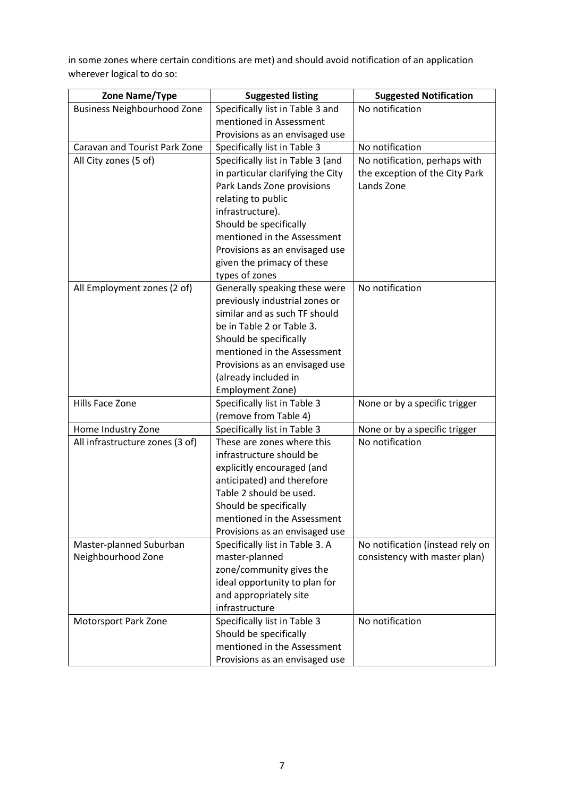in some zones where certain conditions are met) and should avoid notification of an application wherever logical to do so:

| Zone Name/Type                       | <b>Suggested listing</b>                     | <b>Suggested Notification</b>    |
|--------------------------------------|----------------------------------------------|----------------------------------|
| <b>Business Neighbourhood Zone</b>   | Specifically list in Table 3 and             | No notification                  |
|                                      | mentioned in Assessment                      |                                  |
|                                      | Provisions as an envisaged use               |                                  |
| <b>Caravan and Tourist Park Zone</b> | Specifically list in Table 3                 | No notification                  |
| All City zones (5 of)                | Specifically list in Table 3 (and            | No notification, perhaps with    |
|                                      | in particular clarifying the City            | the exception of the City Park   |
|                                      | Park Lands Zone provisions                   | Lands Zone                       |
|                                      | relating to public                           |                                  |
|                                      | infrastructure).                             |                                  |
|                                      | Should be specifically                       |                                  |
|                                      | mentioned in the Assessment                  |                                  |
|                                      | Provisions as an envisaged use               |                                  |
|                                      | given the primacy of these<br>types of zones |                                  |
| All Employment zones (2 of)          | Generally speaking these were                | No notification                  |
|                                      | previously industrial zones or               |                                  |
|                                      | similar and as such TF should                |                                  |
|                                      | be in Table 2 or Table 3.                    |                                  |
|                                      | Should be specifically                       |                                  |
|                                      | mentioned in the Assessment                  |                                  |
|                                      | Provisions as an envisaged use               |                                  |
|                                      | (already included in                         |                                  |
|                                      | Employment Zone)                             |                                  |
| Hills Face Zone                      | Specifically list in Table 3                 | None or by a specific trigger    |
|                                      | (remove from Table 4)                        |                                  |
| Home Industry Zone                   | Specifically list in Table 3                 | None or by a specific trigger    |
| All infrastructure zones (3 of)      | These are zones where this                   | No notification                  |
|                                      | infrastructure should be                     |                                  |
|                                      | explicitly encouraged (and                   |                                  |
|                                      | anticipated) and therefore                   |                                  |
|                                      | Table 2 should be used.                      |                                  |
|                                      | Should be specifically                       |                                  |
|                                      | mentioned in the Assessment                  |                                  |
|                                      | Provisions as an envisaged use               |                                  |
| Master-planned Suburban              | Specifically list in Table 3. A              | No notification (instead rely on |
| Neighbourhood Zone                   | master-planned<br>zone/community gives the   | consistency with master plan)    |
|                                      | ideal opportunity to plan for                |                                  |
|                                      | and appropriately site                       |                                  |
|                                      | infrastructure                               |                                  |
| Motorsport Park Zone                 | Specifically list in Table 3                 | No notification                  |
|                                      | Should be specifically                       |                                  |
|                                      | mentioned in the Assessment                  |                                  |
|                                      | Provisions as an envisaged use               |                                  |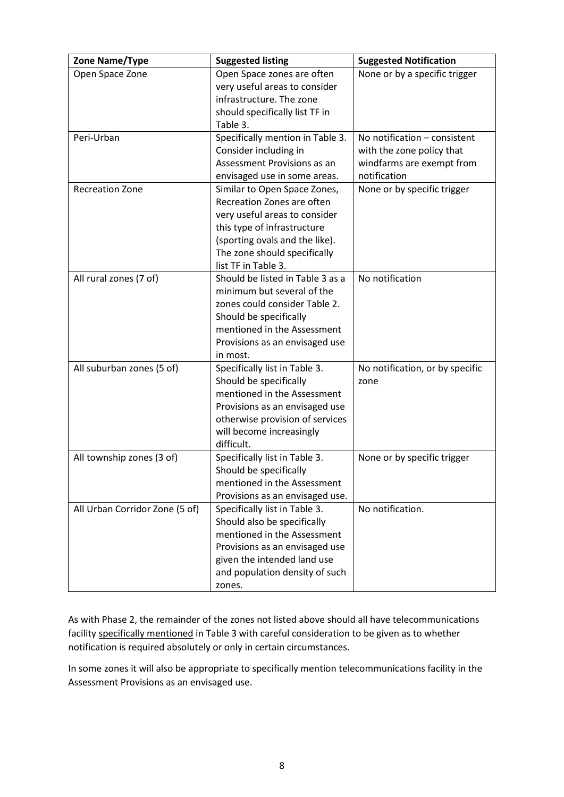| Zone Name/Type                 | <b>Suggested listing</b>                                                                                                                                                                                            | <b>Suggested Notification</b>                                                                          |
|--------------------------------|---------------------------------------------------------------------------------------------------------------------------------------------------------------------------------------------------------------------|--------------------------------------------------------------------------------------------------------|
| Open Space Zone                | Open Space zones are often<br>very useful areas to consider<br>infrastructure. The zone<br>should specifically list TF in<br>Table 3.                                                                               | None or by a specific trigger                                                                          |
| Peri-Urban                     | Specifically mention in Table 3.<br>Consider including in<br>Assessment Provisions as an<br>envisaged use in some areas.                                                                                            | No notification - consistent<br>with the zone policy that<br>windfarms are exempt from<br>notification |
| <b>Recreation Zone</b>         | Similar to Open Space Zones,<br>Recreation Zones are often<br>very useful areas to consider<br>this type of infrastructure<br>(sporting ovals and the like).<br>The zone should specifically<br>list TF in Table 3. | None or by specific trigger                                                                            |
| All rural zones (7 of)         | Should be listed in Table 3 as a<br>minimum but several of the<br>zones could consider Table 2.<br>Should be specifically<br>mentioned in the Assessment<br>Provisions as an envisaged use<br>in most.              | No notification                                                                                        |
| All suburban zones (5 of)      | Specifically list in Table 3.<br>Should be specifically<br>mentioned in the Assessment<br>Provisions as an envisaged use<br>otherwise provision of services<br>will become increasingly<br>difficult.               | No notification, or by specific<br>zone                                                                |
| All township zones (3 of)      | Specifically list in Table 3.<br>Should be specifically<br>mentioned in the Assessment<br>Provisions as an envisaged use.                                                                                           | None or by specific trigger                                                                            |
| All Urban Corridor Zone (5 of) | Specifically list in Table 3.<br>Should also be specifically<br>mentioned in the Assessment<br>Provisions as an envisaged use<br>given the intended land use<br>and population density of such<br>zones.            | No notification.                                                                                       |

As with Phase 2, the remainder of the zones not listed above should all have telecommunications facility specifically mentioned in Table 3 with careful consideration to be given as to whether notification is required absolutely or only in certain circumstances.

In some zones it will also be appropriate to specifically mention telecommunications facility in the Assessment Provisions as an envisaged use.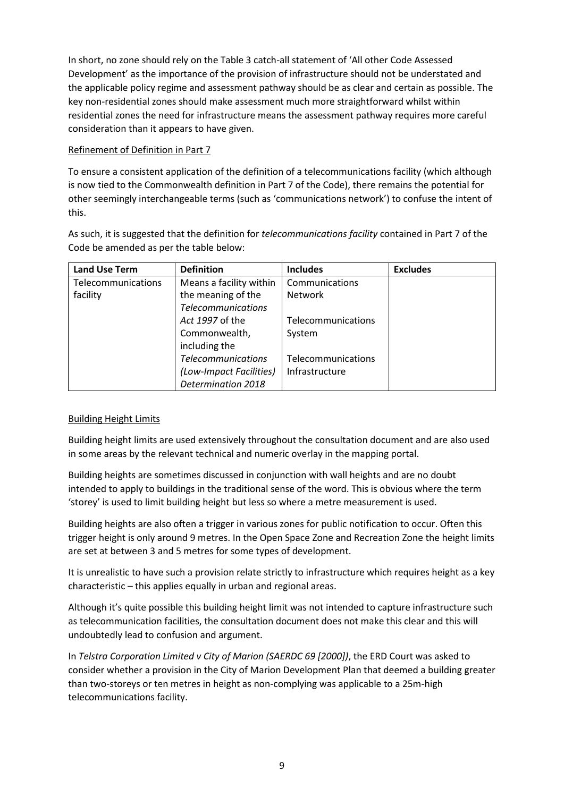In short, no zone should rely on the Table 3 catch-all statement of 'All other Code Assessed Development' as the importance of the provision of infrastructure should not be understated and the applicable policy regime and assessment pathway should be as clear and certain as possible. The key non-residential zones should make assessment much more straightforward whilst within residential zones the need for infrastructure means the assessment pathway requires more careful consideration than it appears to have given.

## Refinement of Definition in Part 7

To ensure a consistent application of the definition of a telecommunications facility (which although is now tied to the Commonwealth definition in Part 7 of the Code), there remains the potential for other seemingly interchangeable terms (such as 'communications network') to confuse the intent of this.

As such, it is suggested that the definition for *telecommunications facility* contained in Part 7 of the Code be amended as per the table below:

| <b>Land Use Term</b> | <b>Definition</b>         | <b>Includes</b>    | <b>Excludes</b> |
|----------------------|---------------------------|--------------------|-----------------|
| Telecommunications   | Means a facility within   | Communications     |                 |
| facility             | the meaning of the        | <b>Network</b>     |                 |
|                      | <b>Telecommunications</b> |                    |                 |
|                      | Act 1997 of the           | Telecommunications |                 |
|                      | Commonwealth,             | System             |                 |
|                      | including the             |                    |                 |
|                      | <b>Telecommunications</b> | Telecommunications |                 |
|                      | (Low-Impact Facilities)   | Infrastructure     |                 |
|                      | Determination 2018        |                    |                 |

## Building Height Limits

Building height limits are used extensively throughout the consultation document and are also used in some areas by the relevant technical and numeric overlay in the mapping portal.

Building heights are sometimes discussed in conjunction with wall heights and are no doubt intended to apply to buildings in the traditional sense of the word. This is obvious where the term 'storey' is used to limit building height but less so where a metre measurement is used.

Building heights are also often a trigger in various zones for public notification to occur. Often this trigger height is only around 9 metres. In the Open Space Zone and Recreation Zone the height limits are set at between 3 and 5 metres for some types of development.

It is unrealistic to have such a provision relate strictly to infrastructure which requires height as a key characteristic – this applies equally in urban and regional areas.

Although it's quite possible this building height limit was not intended to capture infrastructure such as telecommunication facilities, the consultation document does not make this clear and this will undoubtedly lead to confusion and argument.

In *Telstra Corporation Limited v City of Marion (SAERDC 69 [2000])*, the ERD Court was asked to consider whether a provision in the City of Marion Development Plan that deemed a building greater than two-storeys or ten metres in height as non-complying was applicable to a 25m-high telecommunications facility.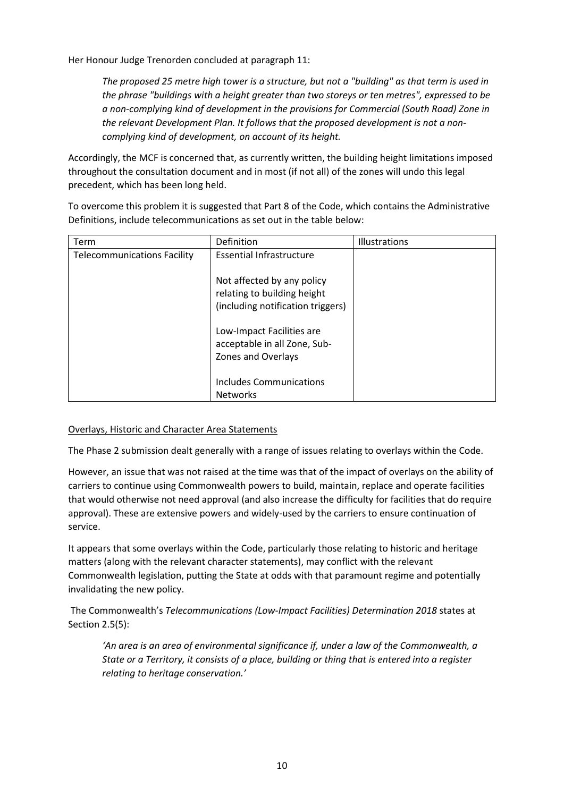Her Honour Judge Trenorden concluded at paragraph 11:

*The proposed 25 metre high tower is a structure, but not a "building" as that term is used in the phrase "buildings with a height greater than two storeys or ten metres", expressed to be a non-complying kind of development in the provisions for Commercial (South Road) Zone in the relevant Development Plan. It follows that the proposed development is not a noncomplying kind of development, on account of its height.*

Accordingly, the MCF is concerned that, as currently written, the building height limitations imposed throughout the consultation document and in most (if not all) of the zones will undo this legal precedent, which has been long held.

To overcome this problem it is suggested that Part 8 of the Code, which contains the Administrative Definitions, include telecommunications as set out in the table below:

| Term                               | Definition                        | Illustrations |
|------------------------------------|-----------------------------------|---------------|
| <b>Telecommunications Facility</b> | <b>Essential Infrastructure</b>   |               |
|                                    |                                   |               |
|                                    | Not affected by any policy        |               |
|                                    | relating to building height       |               |
|                                    | (including notification triggers) |               |
|                                    |                                   |               |
|                                    | Low-Impact Facilities are         |               |
|                                    | acceptable in all Zone, Sub-      |               |
|                                    | Zones and Overlays                |               |
|                                    |                                   |               |
|                                    | Includes Communications           |               |
|                                    | <b>Networks</b>                   |               |

#### Overlays, Historic and Character Area Statements

The Phase 2 submission dealt generally with a range of issues relating to overlays within the Code.

However, an issue that was not raised at the time was that of the impact of overlays on the ability of carriers to continue using Commonwealth powers to build, maintain, replace and operate facilities that would otherwise not need approval (and also increase the difficulty for facilities that do require approval). These are extensive powers and widely-used by the carriers to ensure continuation of service.

It appears that some overlays within the Code, particularly those relating to historic and heritage matters (along with the relevant character statements), may conflict with the relevant Commonwealth legislation, putting the State at odds with that paramount regime and potentially invalidating the new policy.

The Commonwealth's *Telecommunications (Low-Impact Facilities) Determination 2018* states at Section 2.5(5):

*'An area is an area of environmental significance if, under a law of the Commonwealth, a State or a Territory, it consists of a place, building or thing that is entered into a register relating to heritage conservation.'*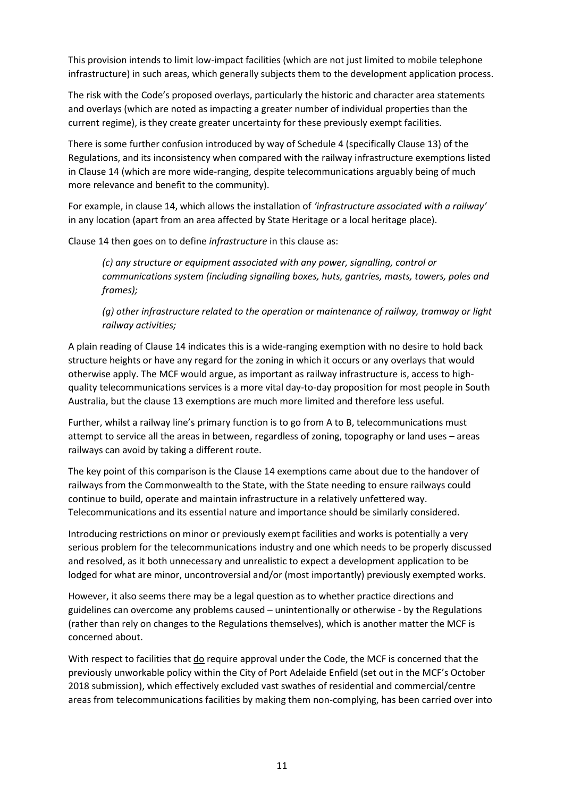This provision intends to limit low-impact facilities (which are not just limited to mobile telephone infrastructure) in such areas, which generally subjects them to the development application process.

The risk with the Code's proposed overlays, particularly the historic and character area statements and overlays (which are noted as impacting a greater number of individual properties than the current regime), is they create greater uncertainty for these previously exempt facilities.

There is some further confusion introduced by way of Schedule 4 (specifically Clause 13) of the Regulations, and its inconsistency when compared with the railway infrastructure exemptions listed in Clause 14 (which are more wide-ranging, despite telecommunications arguably being of much more relevance and benefit to the community).

For example, in clause 14, which allows the installation of *'infrastructure associated with a railway'*  in any location (apart from an area affected by State Heritage or a local heritage place).

Clause 14 then goes on to define *infrastructure* in this clause as:

*(c) any structure or equipment associated with any power, signalling, control or communications system (including signalling boxes, huts, gantries, masts, towers, poles and frames);*

*(g) other infrastructure related to the operation or maintenance of railway, tramway or light railway activities;*

A plain reading of Clause 14 indicates this is a wide-ranging exemption with no desire to hold back structure heights or have any regard for the zoning in which it occurs or any overlays that would otherwise apply. The MCF would argue, as important as railway infrastructure is, access to highquality telecommunications services is a more vital day-to-day proposition for most people in South Australia, but the clause 13 exemptions are much more limited and therefore less useful.

Further, whilst a railway line's primary function is to go from A to B, telecommunications must attempt to service all the areas in between, regardless of zoning, topography or land uses – areas railways can avoid by taking a different route.

The key point of this comparison is the Clause 14 exemptions came about due to the handover of railways from the Commonwealth to the State, with the State needing to ensure railways could continue to build, operate and maintain infrastructure in a relatively unfettered way. Telecommunications and its essential nature and importance should be similarly considered.

Introducing restrictions on minor or previously exempt facilities and works is potentially a very serious problem for the telecommunications industry and one which needs to be properly discussed and resolved, as it both unnecessary and unrealistic to expect a development application to be lodged for what are minor, uncontroversial and/or (most importantly) previously exempted works.

However, it also seems there may be a legal question as to whether practice directions and guidelines can overcome any problems caused – unintentionally or otherwise - by the Regulations (rather than rely on changes to the Regulations themselves), which is another matter the MCF is concerned about.

With respect to facilities that do require approval under the Code, the MCF is concerned that the previously unworkable policy within the City of Port Adelaide Enfield (set out in the MCF's October 2018 submission), which effectively excluded vast swathes of residential and commercial/centre areas from telecommunications facilities by making them non-complying, has been carried over into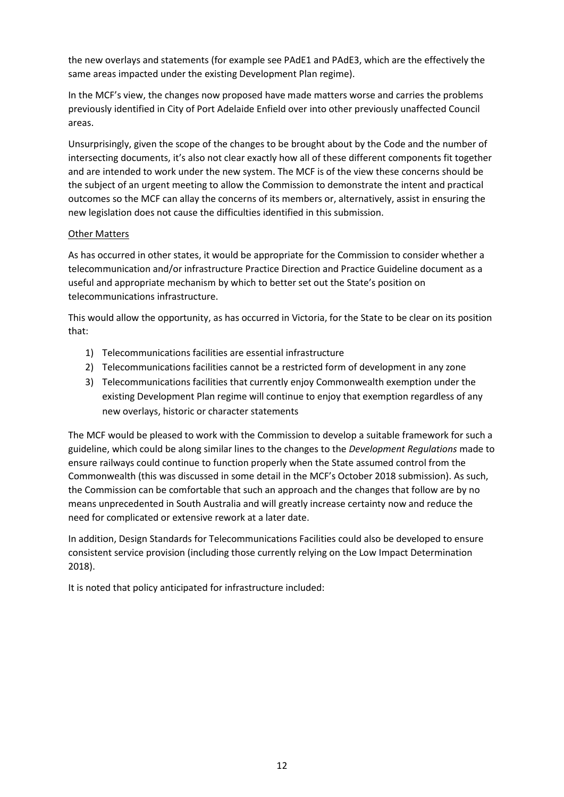the new overlays and statements (for example see PAdE1 and PAdE3, which are the effectively the same areas impacted under the existing Development Plan regime).

In the MCF's view, the changes now proposed have made matters worse and carries the problems previously identified in City of Port Adelaide Enfield over into other previously unaffected Council areas.

Unsurprisingly, given the scope of the changes to be brought about by the Code and the number of intersecting documents, it's also not clear exactly how all of these different components fit together and are intended to work under the new system. The MCF is of the view these concerns should be the subject of an urgent meeting to allow the Commission to demonstrate the intent and practical outcomes so the MCF can allay the concerns of its members or, alternatively, assist in ensuring the new legislation does not cause the difficulties identified in this submission.

#### Other Matters

As has occurred in other states, it would be appropriate for the Commission to consider whether a telecommunication and/or infrastructure Practice Direction and Practice Guideline document as a useful and appropriate mechanism by which to better set out the State's position on telecommunications infrastructure.

This would allow the opportunity, as has occurred in Victoria, for the State to be clear on its position that:

- 1) Telecommunications facilities are essential infrastructure
- 2) Telecommunications facilities cannot be a restricted form of development in any zone
- 3) Telecommunications facilities that currently enjoy Commonwealth exemption under the existing Development Plan regime will continue to enjoy that exemption regardless of any new overlays, historic or character statements

The MCF would be pleased to work with the Commission to develop a suitable framework for such a guideline, which could be along similar lines to the changes to the *Development Regulations* made to ensure railways could continue to function properly when the State assumed control from the Commonwealth (this was discussed in some detail in the MCF's October 2018 submission). As such, the Commission can be comfortable that such an approach and the changes that follow are by no means unprecedented in South Australia and will greatly increase certainty now and reduce the need for complicated or extensive rework at a later date.

In addition, Design Standards for Telecommunications Facilities could also be developed to ensure consistent service provision (including those currently relying on the Low Impact Determination 2018).

It is noted that policy anticipated for infrastructure included: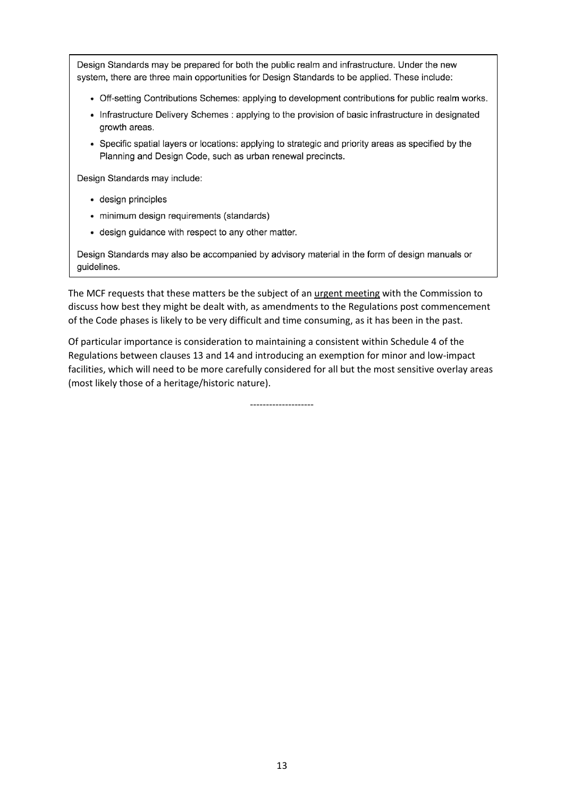Design Standards may be prepared for both the public realm and infrastructure. Under the new system, there are three main opportunities for Design Standards to be applied. These include:

- Off-setting Contributions Schemes: applying to development contributions for public realm works.
- Infrastructure Delivery Schemes : applying to the provision of basic infrastructure in designated growth areas.
- Specific spatial layers or locations: applying to strategic and priority areas as specified by the Planning and Design Code, such as urban renewal precincts.

Design Standards may include:

- · design principles
- · minimum design requirements (standards)
- design guidance with respect to any other matter.

Design Standards may also be accompanied by advisory material in the form of design manuals or guidelines.

The MCF requests that these matters be the subject of an urgent meeting with the Commission to discuss how best they might be dealt with, as amendments to the Regulations post commencement of the Code phases is likely to be very difficult and time consuming, as it has been in the past.

Of particular importance is consideration to maintaining a consistent within Schedule 4 of the Regulations between clauses 13 and 14 and introducing an exemption for minor and low-impact facilities, which will need to be more carefully considered for all but the most sensitive overlay areas (most likely those of a heritage/historic nature).

--------------------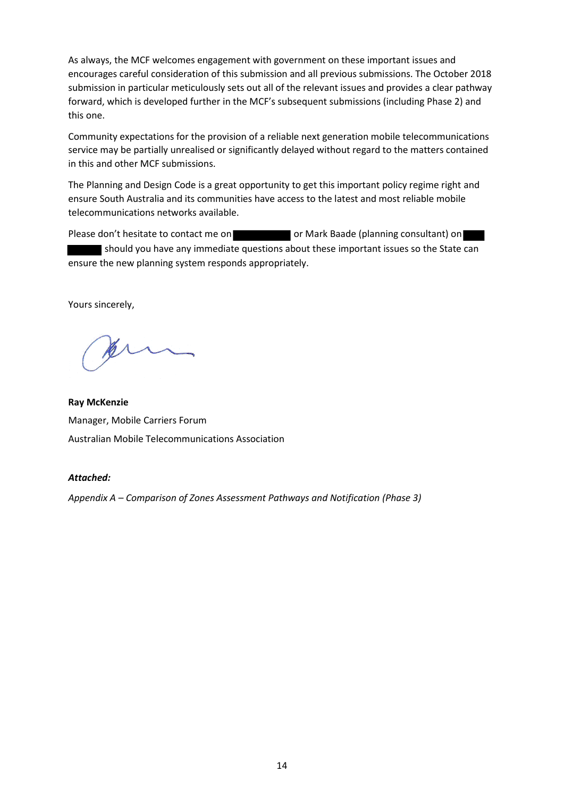As always, the MCF welcomes engagement with government on these important issues and encourages careful consideration of this submission and all previous submissions. The October 2018 submission in particular meticulously sets out all of the relevant issues and provides a clear pathway forward, which is developed further in the MCF's subsequent submissions (including Phase 2) and this one.

Community expectations for the provision of a reliable next generation mobile telecommunications service may be partially unrealised or significantly delayed without regard to the matters contained in this and other MCF submissions.

The Planning and Design Code is a great opportunity to get this important policy regime right and ensure South Australia and its communities have access to the latest and most reliable mobile telecommunications networks available.

Please don't hesitate to contact me on **or Separate State** or Mark Baade (planning consultant) on should you have any immediate questions about these important issues so the State can ensure the new planning system responds appropriately.

Yours sincerely,

**Ray McKenzie** Manager, Mobile Carriers Forum Australian Mobile Telecommunications Association

#### *Attached:*

*Appendix A – Comparison of Zones Assessment Pathways and Notification (Phase 3)*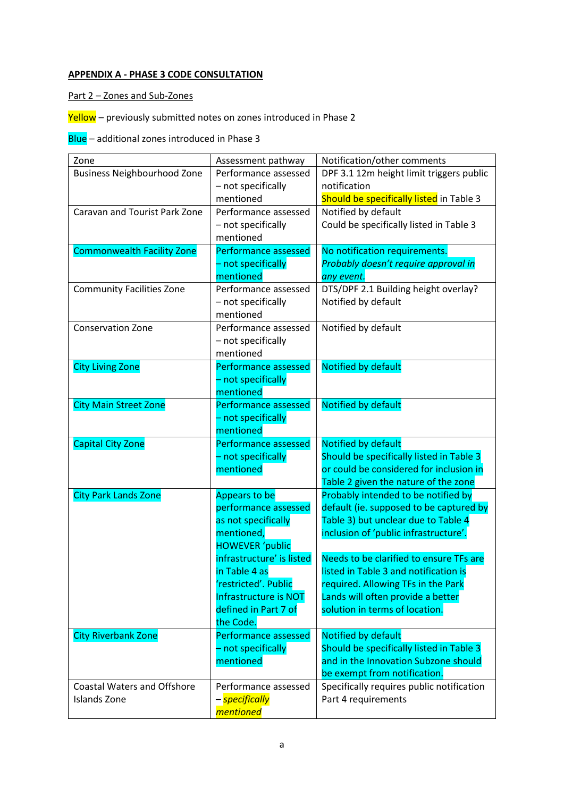# **APPENDIX A - PHASE 3 CODE CONSULTATION**

Part 2 – Zones and Sub-Zones

Yellow - previously submitted notes on zones introduced in Phase 2

Blue – additional zones introduced in Phase 3

| Zone                               | Assessment pathway          | Notification/other comments               |
|------------------------------------|-----------------------------|-------------------------------------------|
| <b>Business Neighbourhood Zone</b> | Performance assessed        | DPF 3.1 12m height limit triggers public  |
|                                    | - not specifically          | notification                              |
|                                    | mentioned                   | Should be specifically listed in Table 3  |
| Caravan and Tourist Park Zone      | Performance assessed        | Notified by default                       |
|                                    | - not specifically          | Could be specifically listed in Table 3   |
|                                    | mentioned                   |                                           |
| <b>Commonwealth Facility Zone</b>  | <b>Performance assessed</b> | No notification requirements.             |
|                                    | - not specifically          | Probably doesn't require approval in      |
|                                    | mentioned                   | any event.                                |
| <b>Community Facilities Zone</b>   | Performance assessed        | DTS/DPF 2.1 Building height overlay?      |
|                                    | - not specifically          | Notified by default                       |
|                                    | mentioned                   |                                           |
| Conservation Zone                  | Performance assessed        | Notified by default                       |
|                                    | - not specifically          |                                           |
|                                    | mentioned                   |                                           |
| <b>City Living Zone</b>            | Performance assessed        | Notified by default                       |
|                                    | - not specifically          |                                           |
|                                    | mentioned                   |                                           |
| <b>City Main Street Zone</b>       | Performance assessed        | Notified by default                       |
|                                    | - not specifically          |                                           |
|                                    | mentioned                   |                                           |
| <b>Capital City Zone</b>           | Performance assessed        | Notified by default                       |
|                                    | - not specifically          | Should be specifically listed in Table 3  |
|                                    | mentioned                   | or could be considered for inclusion in   |
|                                    |                             | Table 2 given the nature of the zone      |
| <b>City Park Lands Zone</b>        | Appears to be               | Probably intended to be notified by       |
|                                    | performance assessed        | default (ie. supposed to be captured by   |
|                                    | as not specifically         | Table 3) but unclear due to Table 4       |
|                                    | mentioned,                  | inclusion of 'public infrastructure'.     |
|                                    | <b>HOWEVER 'public</b>      |                                           |
|                                    | infrastructure' is listed   | Needs to be clarified to ensure TFs are   |
|                                    | in Table 4 as               | listed in Table 3 and notification is     |
|                                    | 'restricted'. Public        | required. Allowing TFs in the Park        |
|                                    | Infrastructure is NOT       | Lands will often provide a better         |
|                                    | defined in Part 7 of        | solution in terms of location.            |
|                                    | the Code.                   |                                           |
| <b>City Riverbank Zone</b>         | Performance assessed        | Notified by default                       |
|                                    | - not specifically          | Should be specifically listed in Table 3  |
|                                    | mentioned                   | and in the Innovation Subzone should      |
|                                    |                             | be exempt from notification.              |
| <b>Coastal Waters and Offshore</b> | Performance assessed        | Specifically requires public notification |
| <b>Islands Zone</b>                | – <mark>specifically</mark> | Part 4 requirements                       |
|                                    | <i>mentioned</i>            |                                           |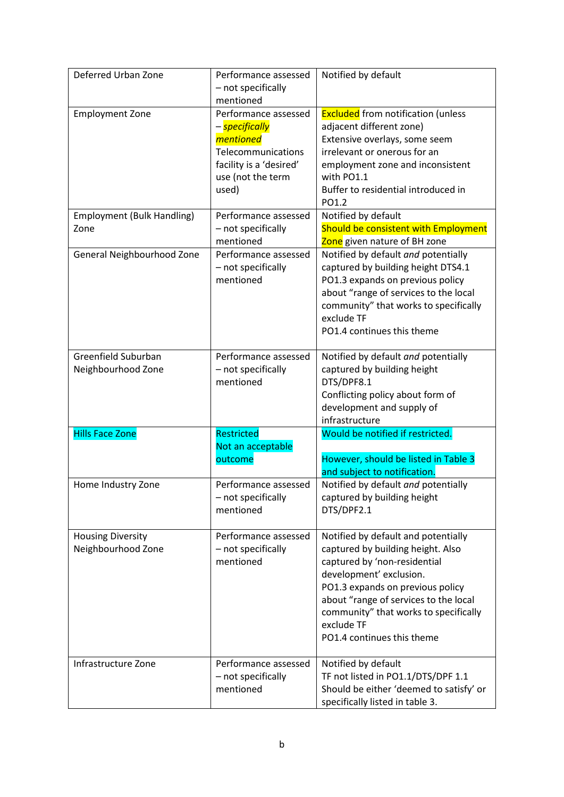| Deferred Urban Zone                            | Performance assessed<br>- not specifically<br>mentioned                                                                                         | Notified by default                                                                                                                                                                                                                                                                                   |
|------------------------------------------------|-------------------------------------------------------------------------------------------------------------------------------------------------|-------------------------------------------------------------------------------------------------------------------------------------------------------------------------------------------------------------------------------------------------------------------------------------------------------|
| <b>Employment Zone</b>                         | Performance assessed<br>– <mark>specifically</mark><br>mentioned<br>Telecommunications<br>facility is a 'desired'<br>use (not the term<br>used) | <b>Excluded</b> from notification (unless<br>adjacent different zone)<br>Extensive overlays, some seem<br>irrelevant or onerous for an<br>employment zone and inconsistent<br>with PO1.1<br>Buffer to residential introduced in<br>PO1.2                                                              |
| <b>Employment (Bulk Handling)</b><br>Zone      | Performance assessed<br>- not specifically<br>mentioned                                                                                         | Notified by default<br>Should be consistent with Employment<br>Zone given nature of BH zone                                                                                                                                                                                                           |
| General Neighbourhood Zone                     | Performance assessed<br>- not specifically<br>mentioned                                                                                         | Notified by default and potentially<br>captured by building height DTS4.1<br>PO1.3 expands on previous policy<br>about "range of services to the local<br>community" that works to specifically<br>exclude TF<br>PO1.4 continues this theme                                                           |
| Greenfield Suburban<br>Neighbourhood Zone      | Performance assessed<br>- not specifically<br>mentioned                                                                                         | Notified by default and potentially<br>captured by building height<br>DTS/DPF8.1<br>Conflicting policy about form of<br>development and supply of<br>infrastructure                                                                                                                                   |
| <b>Hills Face Zone</b>                         | Restricted<br>Not an acceptable<br>outcome                                                                                                      | Would be notified if restricted.<br>However, should be listed in Table 3<br>and subject to notification.                                                                                                                                                                                              |
| Home Industry Zone                             | Performance assessed<br>- not specifically<br>mentioned                                                                                         | Notified by default and potentially<br>captured by building height<br>DTS/DPF2.1                                                                                                                                                                                                                      |
| <b>Housing Diversity</b><br>Neighbourhood Zone | Performance assessed<br>- not specifically<br>mentioned                                                                                         | Notified by default and potentially<br>captured by building height. Also<br>captured by 'non-residential<br>development' exclusion.<br>PO1.3 expands on previous policy<br>about "range of services to the local<br>community" that works to specifically<br>exclude TF<br>PO1.4 continues this theme |
| Infrastructure Zone                            | Performance assessed<br>- not specifically<br>mentioned                                                                                         | Notified by default<br>TF not listed in PO1.1/DTS/DPF 1.1<br>Should be either 'deemed to satisfy' or<br>specifically listed in table 3.                                                                                                                                                               |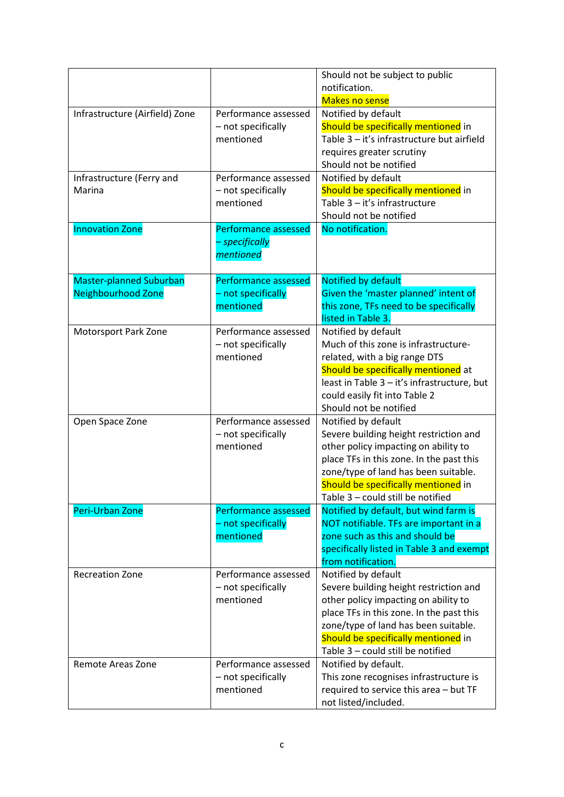| Infrastructure (Airfield) Zone                       | Performance assessed<br>- not specifically<br>mentioned    | Should not be subject to public<br>notification.<br><b>Makes no sense</b><br>Notified by default<br>Should be specifically mentioned in<br>Table 3 - it's infrastructure but airfield<br>requires greater scrutiny<br>Should not be notified                          |
|------------------------------------------------------|------------------------------------------------------------|-----------------------------------------------------------------------------------------------------------------------------------------------------------------------------------------------------------------------------------------------------------------------|
| Infrastructure (Ferry and<br>Marina                  | Performance assessed<br>- not specifically<br>mentioned    | Notified by default<br>Should be specifically mentioned in<br>Table 3 - it's infrastructure<br>Should not be notified                                                                                                                                                 |
| <b>Innovation Zone</b>                               | <b>Performance assessed</b><br>– specifically<br>mentioned | No notification.                                                                                                                                                                                                                                                      |
| Master-planned Suburban<br><b>Neighbourhood Zone</b> | Performance assessed<br>- not specifically<br>mentioned    | Notified by default<br>Given the 'master planned' intent of<br>this zone, TFs need to be specifically<br>listed in Table 3.                                                                                                                                           |
| <b>Motorsport Park Zone</b>                          | Performance assessed<br>- not specifically<br>mentioned    | Notified by default<br>Much of this zone is infrastructure-<br>related, with a big range DTS<br>Should be specifically mentioned at<br>least in Table 3 - it's infrastructure, but<br>could easily fit into Table 2<br>Should not be notified                         |
| Open Space Zone                                      | Performance assessed<br>- not specifically<br>mentioned    | Notified by default<br>Severe building height restriction and<br>other policy impacting on ability to<br>place TFs in this zone. In the past this<br>zone/type of land has been suitable.<br>Should be specifically mentioned in<br>Table 3 - could still be notified |
| Peri-Urban Zone                                      | Performance assessed<br>- not specifically<br>mentioned    | Notified by default, but wind farm is<br>NOT notifiable. TFs are important in a<br>zone such as this and should be<br>specifically listed in Table 3 and exempt<br>from notification.                                                                                 |
| <b>Recreation Zone</b>                               | Performance assessed<br>- not specifically<br>mentioned    | Notified by default<br>Severe building height restriction and<br>other policy impacting on ability to<br>place TFs in this zone. In the past this<br>zone/type of land has been suitable.<br>Should be specifically mentioned in<br>Table 3 - could still be notified |
| Remote Areas Zone                                    | Performance assessed<br>- not specifically<br>mentioned    | Notified by default.<br>This zone recognises infrastructure is<br>required to service this area - but TF<br>not listed/included.                                                                                                                                      |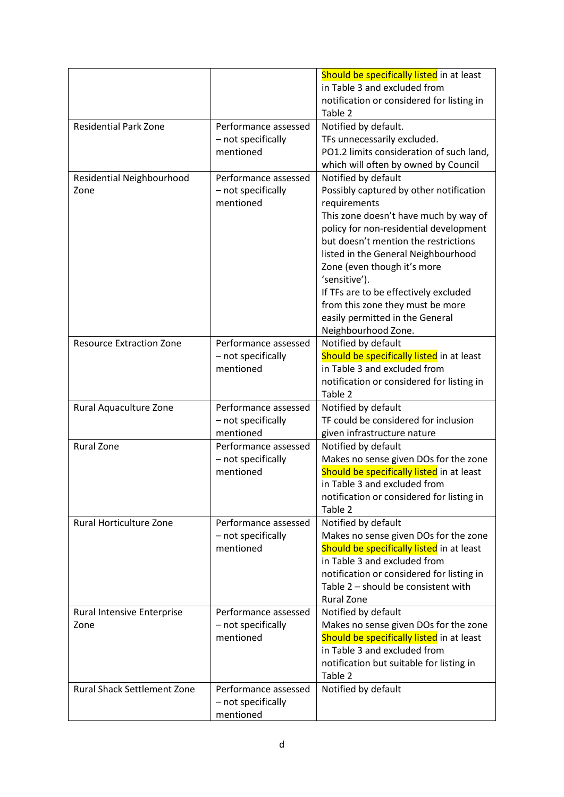|                                    |                                 | Should be specifically listed in at least                               |
|------------------------------------|---------------------------------|-------------------------------------------------------------------------|
|                                    |                                 | in Table 3 and excluded from                                            |
|                                    |                                 | notification or considered for listing in                               |
| <b>Residential Park Zone</b>       |                                 | Table 2                                                                 |
|                                    | Performance assessed            | Notified by default.                                                    |
|                                    | - not specifically<br>mentioned | TFs unnecessarily excluded.<br>PO1.2 limits consideration of such land, |
|                                    |                                 |                                                                         |
|                                    | Performance assessed            | which will often by owned by Council<br>Notified by default             |
| Residential Neighbourhood<br>Zone  | - not specifically              | Possibly captured by other notification                                 |
|                                    | mentioned                       | requirements                                                            |
|                                    |                                 | This zone doesn't have much by way of                                   |
|                                    |                                 | policy for non-residential development                                  |
|                                    |                                 | but doesn't mention the restrictions                                    |
|                                    |                                 | listed in the General Neighbourhood                                     |
|                                    |                                 | Zone (even though it's more                                             |
|                                    |                                 | 'sensitive').                                                           |
|                                    |                                 | If TFs are to be effectively excluded                                   |
|                                    |                                 | from this zone they must be more                                        |
|                                    |                                 | easily permitted in the General                                         |
|                                    |                                 | Neighbourhood Zone.                                                     |
| <b>Resource Extraction Zone</b>    | Performance assessed            | Notified by default                                                     |
|                                    | - not specifically              | Should be specifically listed in at least                               |
|                                    | mentioned                       | in Table 3 and excluded from                                            |
|                                    |                                 | notification or considered for listing in                               |
|                                    |                                 | Table 2                                                                 |
| Rural Aquaculture Zone             | Performance assessed            | Notified by default                                                     |
|                                    | - not specifically              | TF could be considered for inclusion                                    |
|                                    | mentioned                       | given infrastructure nature                                             |
| <b>Rural Zone</b>                  | Performance assessed            | Notified by default                                                     |
|                                    | - not specifically              | Makes no sense given DOs for the zone                                   |
|                                    | mentioned                       | Should be specifically listed in at least                               |
|                                    |                                 | in Table 3 and excluded from                                            |
|                                    |                                 | notification or considered for listing in<br>Table 2                    |
| <b>Rural Horticulture Zone</b>     | Performance assessed            | Notified by default                                                     |
|                                    | - not specifically              | Makes no sense given DOs for the zone                                   |
|                                    | mentioned                       | Should be specifically listed in at least                               |
|                                    |                                 | in Table 3 and excluded from                                            |
|                                    |                                 | notification or considered for listing in                               |
|                                    |                                 | Table 2 - should be consistent with                                     |
|                                    |                                 | <b>Rural Zone</b>                                                       |
| <b>Rural Intensive Enterprise</b>  | Performance assessed            | Notified by default                                                     |
| Zone                               | - not specifically              | Makes no sense given DOs for the zone                                   |
|                                    | mentioned                       | Should be specifically listed in at least                               |
|                                    |                                 | in Table 3 and excluded from                                            |
|                                    |                                 | notification but suitable for listing in                                |
|                                    |                                 | Table 2                                                                 |
| <b>Rural Shack Settlement Zone</b> | Performance assessed            | Notified by default                                                     |
|                                    | - not specifically              |                                                                         |
|                                    | mentioned                       |                                                                         |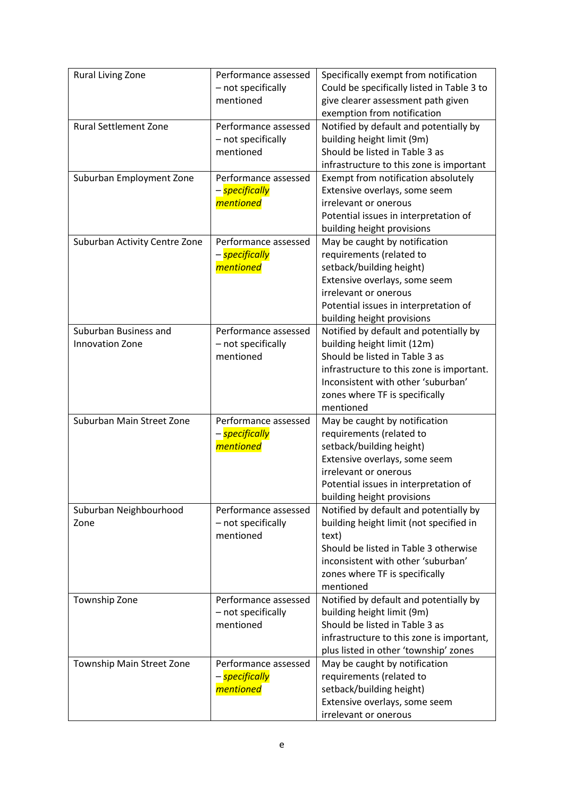| <b>Rural Living Zone</b>      | Performance assessed        | Specifically exempt from notification      |
|-------------------------------|-----------------------------|--------------------------------------------|
|                               | - not specifically          | Could be specifically listed in Table 3 to |
|                               | mentioned                   | give clearer assessment path given         |
|                               |                             | exemption from notification                |
| <b>Rural Settlement Zone</b>  | Performance assessed        | Notified by default and potentially by     |
|                               | - not specifically          | building height limit (9m)                 |
|                               | mentioned                   | Should be listed in Table 3 as             |
|                               |                             | infrastructure to this zone is important   |
| Suburban Employment Zone      | Performance assessed        | Exempt from notification absolutely        |
|                               | – <mark>specifically</mark> | Extensive overlays, some seem              |
|                               | <i>mentioned</i>            | irrelevant or onerous                      |
|                               |                             | Potential issues in interpretation of      |
|                               |                             | building height provisions                 |
| Suburban Activity Centre Zone | Performance assessed        | May be caught by notification              |
|                               | – <mark>specifically</mark> | requirements (related to                   |
|                               | <i>mentioned</i>            | setback/building height)                   |
|                               |                             | Extensive overlays, some seem              |
|                               |                             | irrelevant or onerous                      |
|                               |                             | Potential issues in interpretation of      |
|                               |                             | building height provisions                 |
| Suburban Business and         | Performance assessed        | Notified by default and potentially by     |
| <b>Innovation Zone</b>        | - not specifically          | building height limit (12m)                |
|                               | mentioned                   | Should be listed in Table 3 as             |
|                               |                             | infrastructure to this zone is important.  |
|                               |                             | Inconsistent with other 'suburban'         |
|                               |                             | zones where TF is specifically             |
|                               |                             | mentioned                                  |
| Suburban Main Street Zone     | Performance assessed        | May be caught by notification              |
|                               | – <mark>specifically</mark> | requirements (related to                   |
|                               | <i>mentioned</i>            | setback/building height)                   |
|                               |                             | Extensive overlays, some seem              |
|                               |                             | irrelevant or onerous                      |
|                               |                             | Potential issues in interpretation of      |
|                               |                             | building height provisions                 |
| Suburban Neighbourhood        | Performance assessed        | Notified by default and potentially by     |
| Zone                          | - not specifically          | building height limit (not specified in    |
|                               | mentioned                   | text)                                      |
|                               |                             | Should be listed in Table 3 otherwise      |
|                               |                             | inconsistent with other 'suburban'         |
|                               |                             | zones where TF is specifically             |
|                               |                             | mentioned                                  |
| Township Zone                 | Performance assessed        | Notified by default and potentially by     |
|                               | - not specifically          | building height limit (9m)                 |
|                               | mentioned                   | Should be listed in Table 3 as             |
|                               |                             | infrastructure to this zone is important,  |
|                               |                             | plus listed in other 'township' zones      |
| Township Main Street Zone     | Performance assessed        | May be caught by notification              |
|                               | – <mark>specifically</mark> | requirements (related to                   |
|                               | <i>mentioned</i>            | setback/building height)                   |
|                               |                             | Extensive overlays, some seem              |
|                               |                             | irrelevant or onerous                      |